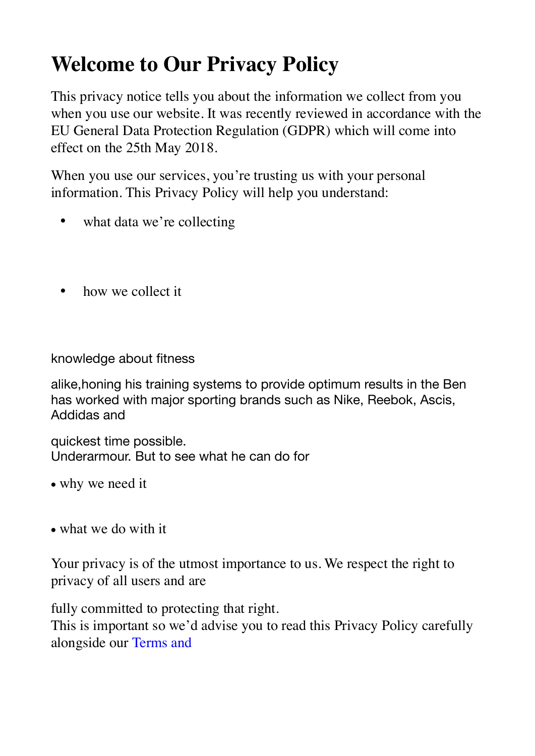### **Welcome to Our Privacy Policy**

This privacy notice tells you about the information we collect from you when you use our website. It was recently reviewed in accordance with the EU General Data Protection Regulation (GDPR) which will come into effect on the 25th May 2018.

When you use our services, you're trusting us with your personal information. This Privacy Policy will help you understand:

- what data we're collecting
- how we collect it

knowledge about fitness

alike,honing his training systems to provide optimum results in the Ben has worked with major sporting brands such as Nike, Reebok, Ascis, Addidas and

quickest time possible. Underarmour. But to see what he can do for

- why we need it
- what we do with it

Your privacy is of the utmost importance to us. We respect the right to privacy of all users and are

fully committed to protecting that right.

This is important so we'd advise you to read this Privacy Policy carefully alongside our Terms and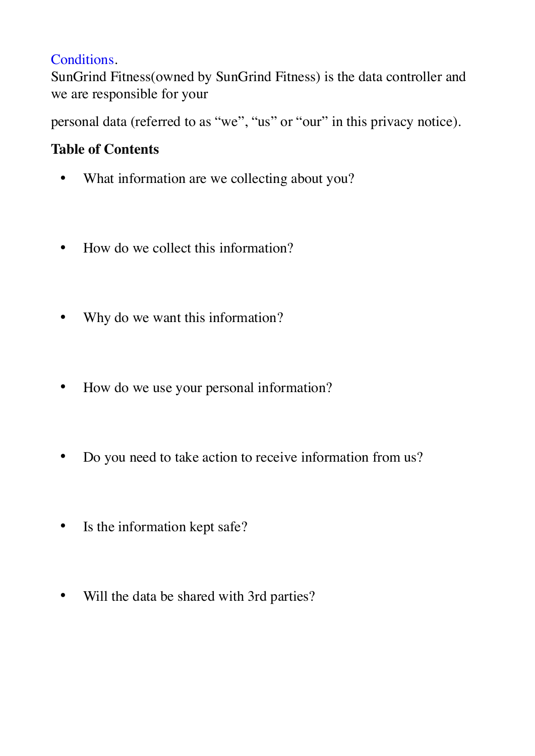### Conditions.

SunGrind Fitness(owned by SunGrind Fitness) is the data controller and we are responsible for your

personal data (referred to as "we", "us" or "our" in this privacy notice).

### **Table of Contents**

- What information are we collecting about you?
- How do we collect this information?
- Why do we want this information?
- How do we use your personal information?
- Do you need to take action to receive information from us?
- Is the information kept safe?
- Will the data be shared with 3rd parties?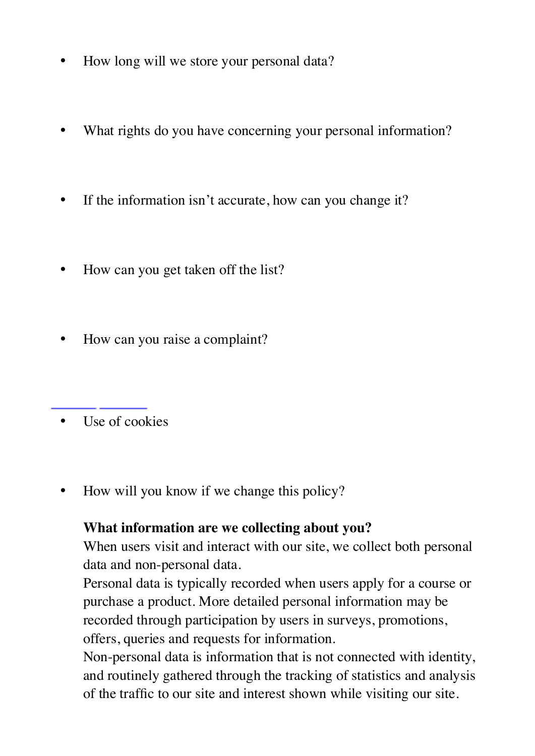- How long will we store your personal data?
- What rights do you have concerning your personal information?
- If the information isn't accurate, how can you change it?
- How can you get taken off the list?
- How can you raise a complaint?
- Use of cookies
- How will you know if we change this policy?

### **What information are we collecting about you?**

When users visit and interact with our site, we collect both personal data and non-personal data.

Personal data is typically recorded when users apply for a course or purchase a product. More detailed personal information may be recorded through participation by users in surveys, promotions, offers, queries and requests for information.

Non-personal data is information that is not connected with identity, and routinely gathered through the tracking of statistics and analysis of the traffic to our site and interest shown while visiting our site.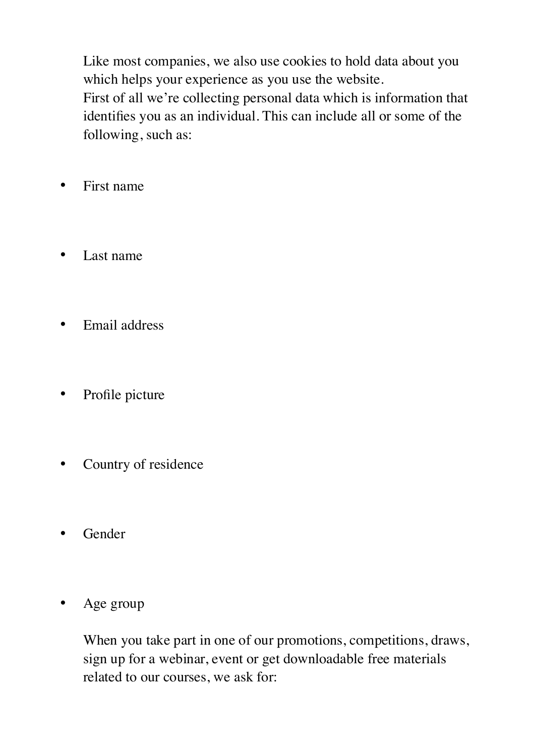Like most companies, we also use cookies to hold data about you which helps your experience as you use the website. First of all we're collecting personal data which is information that identifies you as an individual. This can include all or some of the following, such as:

- First name
- Last name
- Email address
- Profile picture
- Country of residence
- Gender
- Age group

When you take part in one of our promotions, competitions, draws, sign up for a webinar, event or get downloadable free materials related to our courses, we ask for: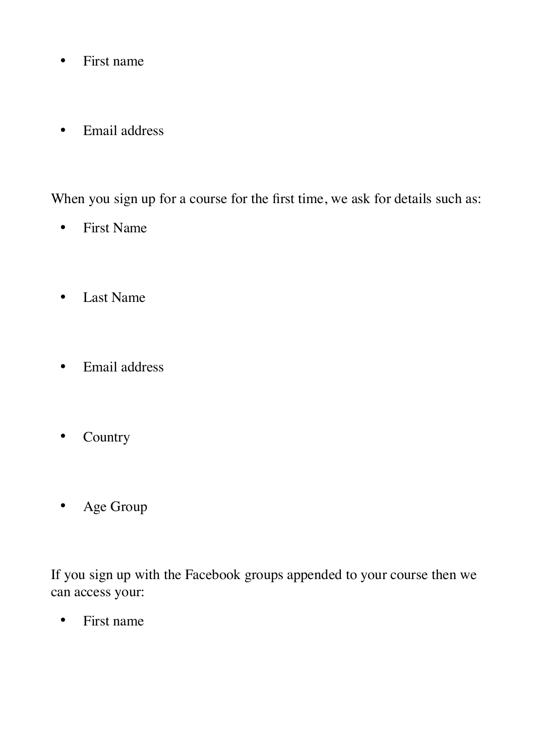- First name
- Email address

When you sign up for a course for the first time, we ask for details such as:

- First Name
- Last Name
- Email address
- Country
- Age Group

If you sign up with the Facebook groups appended to your course then we can access your:

• First name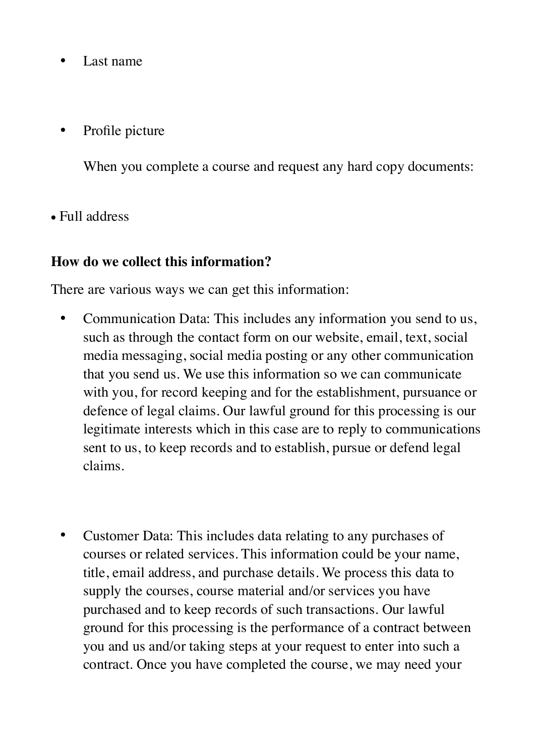- Last name
- Profile picture

When you complete a course and request any hard copy documents:

• Full address

#### **How do we collect this information?**

There are various ways we can get this information:

- Communication Data: This includes any information you send to us, such as through the contact form on our website, email, text, social media messaging, social media posting or any other communication that you send us. We use this information so we can communicate with you, for record keeping and for the establishment, pursuance or defence of legal claims. Our lawful ground for this processing is our legitimate interests which in this case are to reply to communications sent to us, to keep records and to establish, pursue or defend legal claims.
- Customer Data: This includes data relating to any purchases of courses or related services. This information could be your name, title, email address, and purchase details. We process this data to supply the courses, course material and/or services you have purchased and to keep records of such transactions. Our lawful ground for this processing is the performance of a contract between you and us and/or taking steps at your request to enter into such a contract. Once you have completed the course, we may need your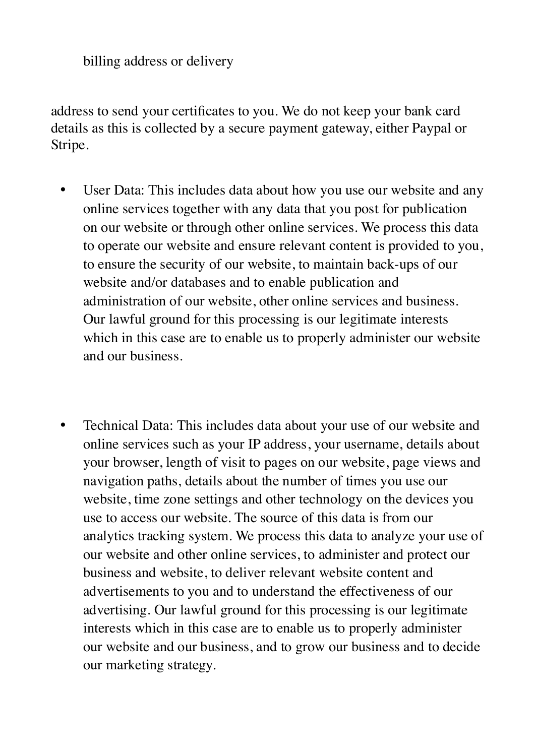billing address or delivery

address to send your certificates to you. We do not keep your bank card details as this is collected by a secure payment gateway, either Paypal or Stripe.

- User Data: This includes data about how you use our website and any online services together with any data that you post for publication on our website or through other online services. We process this data to operate our website and ensure relevant content is provided to you, to ensure the security of our website, to maintain back-ups of our website and/or databases and to enable publication and administration of our website, other online services and business. Our lawful ground for this processing is our legitimate interests which in this case are to enable us to properly administer our website and our business.
- Technical Data: This includes data about your use of our website and online services such as your IP address, your username, details about your browser, length of visit to pages on our website, page views and navigation paths, details about the number of times you use our website, time zone settings and other technology on the devices you use to access our website. The source of this data is from our analytics tracking system. We process this data to analyze your use of our website and other online services, to administer and protect our business and website, to deliver relevant website content and advertisements to you and to understand the effectiveness of our advertising. Our lawful ground for this processing is our legitimate interests which in this case are to enable us to properly administer our website and our business, and to grow our business and to decide our marketing strategy.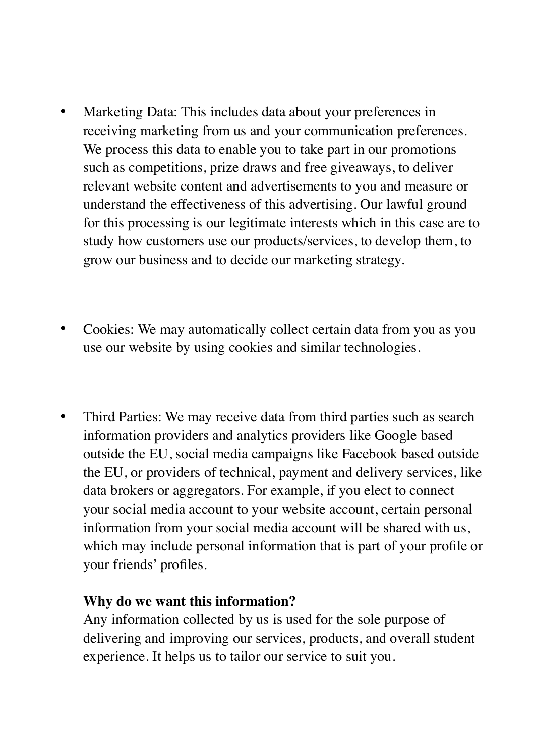- Marketing Data: This includes data about your preferences in receiving marketing from us and your communication preferences. We process this data to enable you to take part in our promotions such as competitions, prize draws and free giveaways, to deliver relevant website content and advertisements to you and measure or understand the effectiveness of this advertising. Our lawful ground for this processing is our legitimate interests which in this case are to study how customers use our products/services, to develop them, to grow our business and to decide our marketing strategy.
- Cookies: We may automatically collect certain data from you as you use our website by using cookies and similar technologies.
- Third Parties: We may receive data from third parties such as search information providers and analytics providers like Google based outside the EU, social media campaigns like Facebook based outside the EU, or providers of technical, payment and delivery services, like data brokers or aggregators. For example, if you elect to connect your social media account to your website account, certain personal information from your social media account will be shared with us, which may include personal information that is part of your profile or your friends' profiles.

### **Why do we want this information?**

Any information collected by us is used for the sole purpose of delivering and improving our services, products, and overall student experience. It helps us to tailor our service to suit you.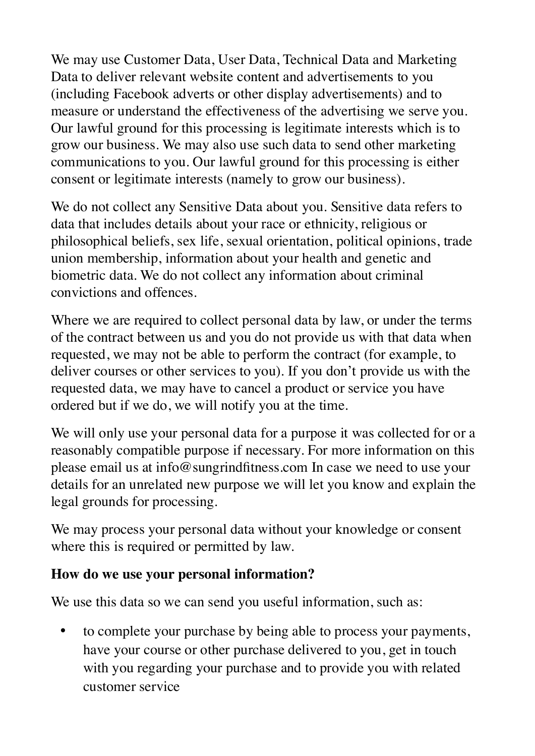We may use Customer Data, User Data, Technical Data and Marketing Data to deliver relevant website content and advertisements to you (including Facebook adverts or other display advertisements) and to measure or understand the effectiveness of the advertising we serve you. Our lawful ground for this processing is legitimate interests which is to grow our business. We may also use such data to send other marketing communications to you. Our lawful ground for this processing is either consent or legitimate interests (namely to grow our business).

We do not collect any Sensitive Data about you. Sensitive data refers to data that includes details about your race or ethnicity, religious or philosophical beliefs, sex life, sexual orientation, political opinions, trade union membership, information about your health and genetic and biometric data. We do not collect any information about criminal convictions and offences.

Where we are required to collect personal data by law, or under the terms of the contract between us and you do not provide us with that data when requested, we may not be able to perform the contract (for example, to deliver courses or other services to you). If you don't provide us with the requested data, we may have to cancel a product or service you have ordered but if we do, we will notify you at the time.

We will only use your personal data for a purpose it was collected for or a reasonably compatible purpose if necessary. For more information on this please email us at info@sungrindfitness.com In case we need to use your details for an unrelated new purpose we will let you know and explain the legal grounds for processing.

We may process your personal data without your knowledge or consent where this is required or permitted by law.

### **How do we use your personal information?**

We use this data so we can send you useful information, such as:

• to complete your purchase by being able to process your payments, have your course or other purchase delivered to you, get in touch with you regarding your purchase and to provide you with related customer service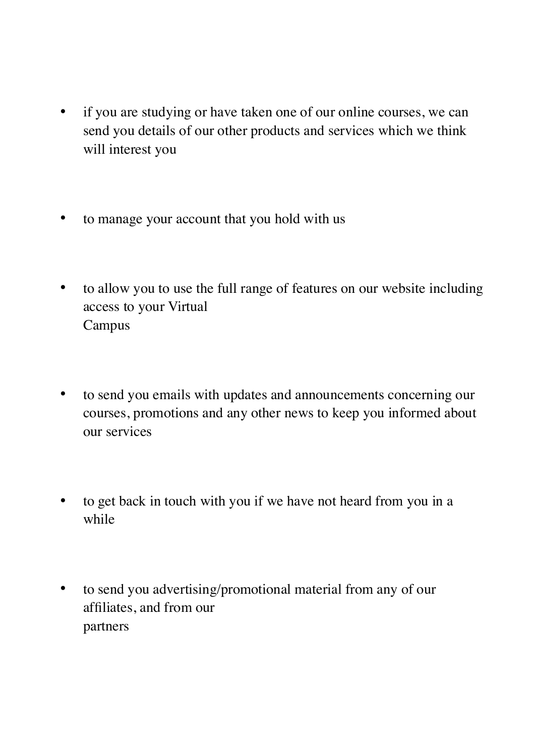- if you are studying or have taken one of our online courses, we can send you details of our other products and services which we think will interest you
- to manage your account that you hold with us
- to allow you to use the full range of features on our website including access to your Virtual Campus
- to send you emails with updates and announcements concerning our courses, promotions and any other news to keep you informed about our services
- to get back in touch with you if we have not heard from you in a while
- to send you advertising/promotional material from any of our affiliates, and from our partners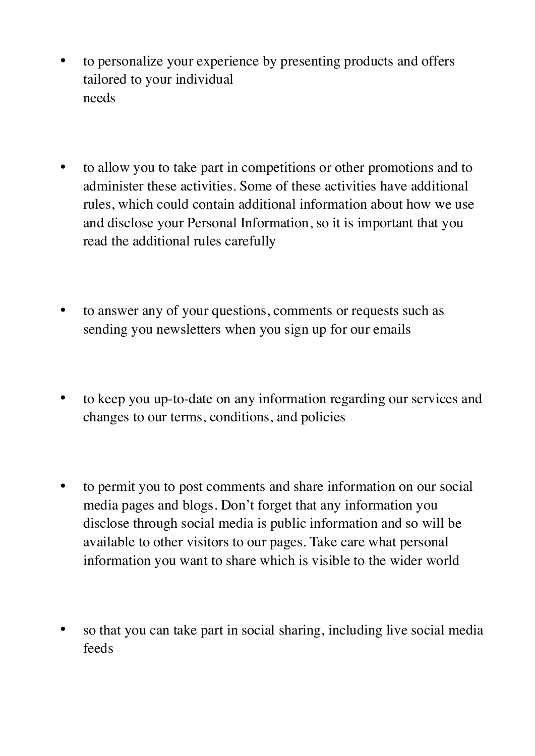- to personalize your experience by presenting products and offers tailored to your individual needs
- to allow you to take part in competitions or other promotions and to administer these activities. Some of these activities have additional rules, which could contain additional information about how we use and disclose your Personal Information, so it is important that you read the additional rules carefully
- to answer any of your questions, comments or requests such as sending you newsletters when you sign up for our emails
- to keep you up-to-date on any information regarding our services and changes to our terms, conditions, and policies
- to permit you to post comments and share information on our social media pages and blogs. Don't forget that any information you disclose through social media is public information and so will be available to other visitors to our pages. Take care what personal information you want to share which is visible to the wider world
- so that you can take part in social sharing, including live social media feeds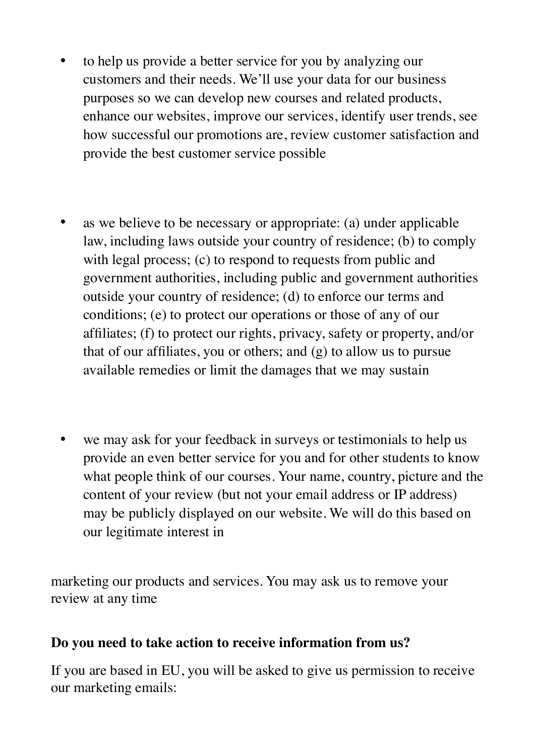- to help us provide a better service for you by analyzing our customers and their needs. We'll use your data for our business purposes so we can develop new courses and related products, enhance our websites, improve our services, identify user trends, see how successful our promotions are, review customer satisfaction and provide the best customer service possible
- as we believe to be necessary or appropriate: (a) under applicable law, including laws outside your country of residence; (b) to comply with legal process; (c) to respond to requests from public and government authorities, including public and government authorities outside your country of residence; (d) to enforce our terms and conditions; (e) to protect our operations or those of any of our affiliates; (f) to protect our rights, privacy, safety or property, and/or that of our affiliates, you or others; and (g) to allow us to pursue available remedies or limit the damages that we may sustain
- we may ask for your feedback in surveys or testimonials to help us provide an even better service for you and for other students to know what people think of our courses. Your name, country, picture and the content of your review (but not your email address or IP address) may be publicly displayed on our website. We will do this based on our legitimate interest in

marketing our products and services. You may ask us to remove your review at any time

### **Do you need to take action to receive information from us?**

If you are based in EU, you will be asked to give us permission to receive our marketing emails: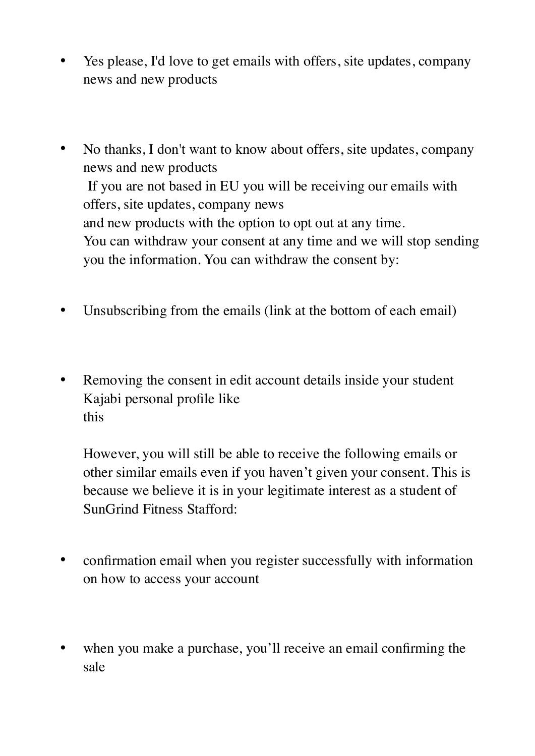- Yes please, I'd love to get emails with offers, site updates, company news and new products
- No thanks, I don't want to know about offers, site updates, company news and new products If you are not based in EU you will be receiving our emails with offers, site updates, company news and new products with the option to opt out at any time. You can withdraw your consent at any time and we will stop sending you the information. You can withdraw the consent by:
- Unsubscribing from the emails (link at the bottom of each email)
- Removing the consent in edit account details inside your student Kajabi personal profile like this

However, you will still be able to receive the following emails or other similar emails even if you haven't given your consent. This is because we believe it is in your legitimate interest as a student of SunGrind Fitness Stafford:

- confirmation email when you register successfully with information on how to access your account
- when you make a purchase, you'll receive an email confirming the sale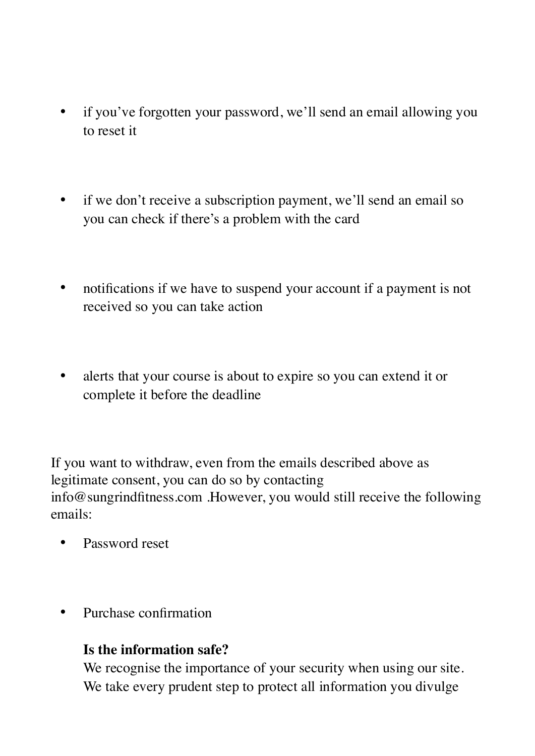- if you've forgotten your password, we'll send an email allowing you to reset it
- if we don't receive a subscription payment, we'll send an email so you can check if there's a problem with the card
- notifications if we have to suspend your account if a payment is not received so you can take action
- alerts that your course is about to expire so you can extend it or complete it before the deadline

If you want to withdraw, even from the emails described above as legitimate consent, you can do so by contacting info@sungrindfitness.com .However, you would still receive the following emails:

- Password reset
- Purchase confirmation

### **Is the information safe?**

We recognise the importance of your security when using our site. We take every prudent step to protect all information you divulge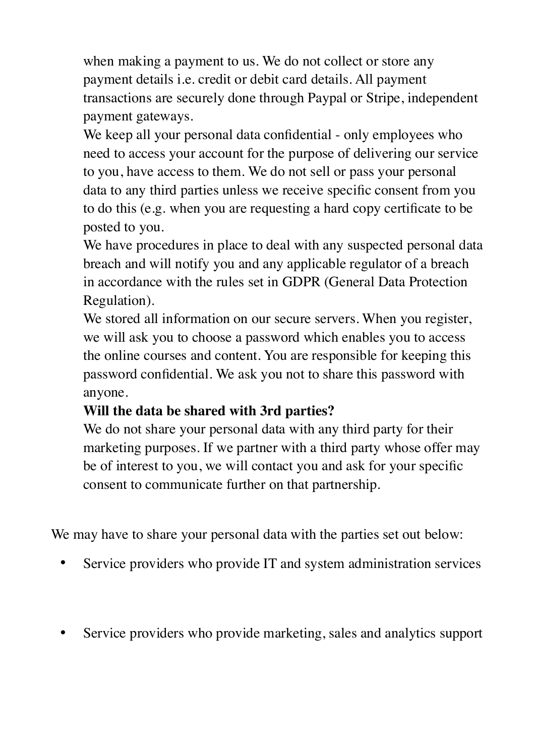when making a payment to us. We do not collect or store any payment details i.e. credit or debit card details. All payment transactions are securely done through Paypal or Stripe, independent payment gateways.

We keep all your personal data confidential - only employees who need to access your account for the purpose of delivering our service to you, have access to them. We do not sell or pass your personal data to any third parties unless we receive specific consent from you to do this (e.g. when you are requesting a hard copy certificate to be posted to you.

We have procedures in place to deal with any suspected personal data breach and will notify you and any applicable regulator of a breach in accordance with the rules set in GDPR (General Data Protection Regulation).

We stored all information on our secure servers. When you register, we will ask you to choose a password which enables you to access the online courses and content. You are responsible for keeping this password confidential. We ask you not to share this password with anyone.

### **Will the data be shared with 3rd parties?**

We do not share your personal data with any third party for their marketing purposes. If we partner with a third party whose offer may be of interest to you, we will contact you and ask for your specific consent to communicate further on that partnership.

We may have to share your personal data with the parties set out below:

- Service providers who provide IT and system administration services
- Service providers who provide marketing, sales and analytics support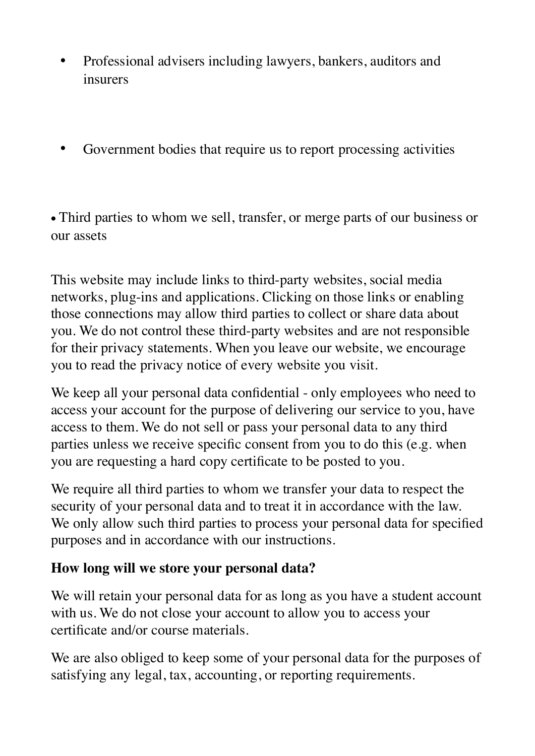- Professional advisers including lawyers, bankers, auditors and insurers
- Government bodies that require us to report processing activities
- Third parties to whom we sell, transfer, or merge parts of our business or our assets

This website may include links to third-party websites, social media networks, plug-ins and applications. Clicking on those links or enabling those connections may allow third parties to collect or share data about you. We do not control these third-party websites and are not responsible for their privacy statements. When you leave our website, we encourage you to read the privacy notice of every website you visit.

We keep all your personal data confidential - only employees who need to access your account for the purpose of delivering our service to you, have access to them. We do not sell or pass your personal data to any third parties unless we receive specific consent from you to do this (e.g. when you are requesting a hard copy certificate to be posted to you.

We require all third parties to whom we transfer your data to respect the security of your personal data and to treat it in accordance with the law. We only allow such third parties to process your personal data for specified purposes and in accordance with our instructions.

### **How long will we store your personal data?**

We will retain your personal data for as long as you have a student account with us. We do not close your account to allow you to access your certificate and/or course materials.

We are also obliged to keep some of your personal data for the purposes of satisfying any legal, tax, accounting, or reporting requirements.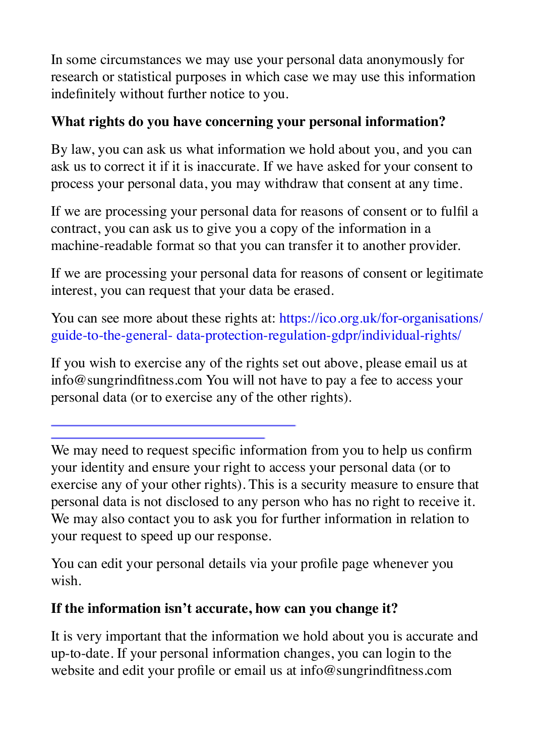In some circumstances we may use your personal data anonymously for research or statistical purposes in which case we may use this information indefinitely without further notice to you.

### **What rights do you have concerning your personal information?**

By law, you can ask us what information we hold about you, and you can ask us to correct it if it is inaccurate. If we have asked for your consent to process your personal data, you may withdraw that consent at any time.

If we are processing your personal data for reasons of consent or to fulfil a contract, you can ask us to give you a copy of the information in a machine-readable format so that you can transfer it to another provider.

If we are processing your personal data for reasons of consent or legitimate interest, you can request that your data be erased.

You can see more about these rights at: https://ico.org.uk/for-organisations/ guide-to-the-general- data-protection-regulation-gdpr/individual-rights/

If you wish to exercise any of the rights set out above, please email us at info@sungrindfitness.com You will not have to pay a fee to access your personal data (or to exercise any of the other rights).

You can edit your personal details via your profile page whenever you wish.

### **If the information isn't accurate, how can you change it?**

It is very important that the information we hold about you is accurate and up-to-date. If your personal information changes, you can login to the website and edit your profile or email us at info@sungrindfitness.com

We may need to request specific information from you to help us confirm your identity and ensure your right to access your personal data (or to exercise any of your other rights). This is a security measure to ensure that personal data is not disclosed to any person who has no right to receive it. We may also contact you to ask you for further information in relation to your request to speed up our response.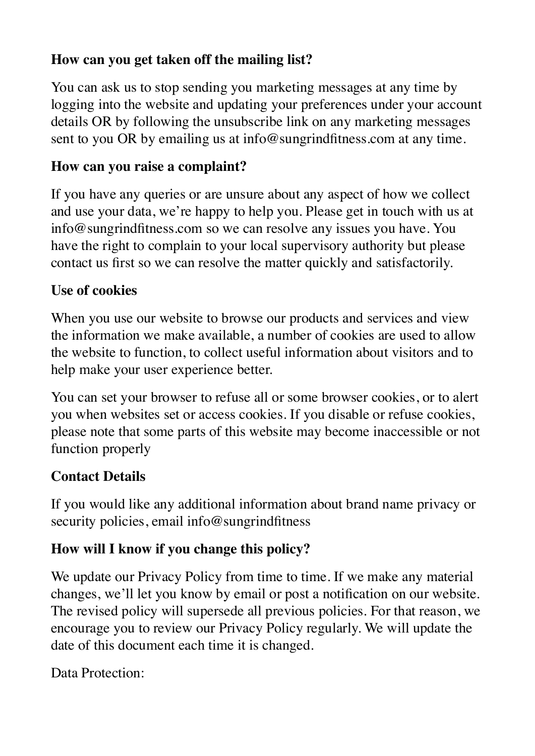### **How can you get taken off the mailing list?**

You can ask us to stop sending you marketing messages at any time by logging into the website and updating your preferences under your account details OR by following the unsubscribe link on any marketing messages sent to you OR by emailing us at info@sungrindfitness.com at any time.

### **How can you raise a complaint?**

If you have any queries or are unsure about any aspect of how we collect and use your data, we're happy to help you. Please get in touch with us at info@sungrindfitness.com so we can resolve any issues you have. You have the right to complain to your local supervisory authority but please contact us first so we can resolve the matter quickly and satisfactorily.

### **Use of cookies**

When you use our website to browse our products and services and view the information we make available, a number of cookies are used to allow the website to function, to collect useful information about visitors and to help make your user experience better.

You can set your browser to refuse all or some browser cookies, or to alert you when websites set or access cookies. If you disable or refuse cookies, please note that some parts of this website may become inaccessible or not function properly

### **Contact Details**

If you would like any additional information about brand name privacy or security policies, email info@sungrindfitness

### **How will I know if you change this policy?**

We update our Privacy Policy from time to time. If we make any material changes, we'll let you know by email or post a notification on our website. The revised policy will supersede all previous policies. For that reason, we encourage you to review our Privacy Policy regularly. We will update the date of this document each time it is changed.

Data Protection: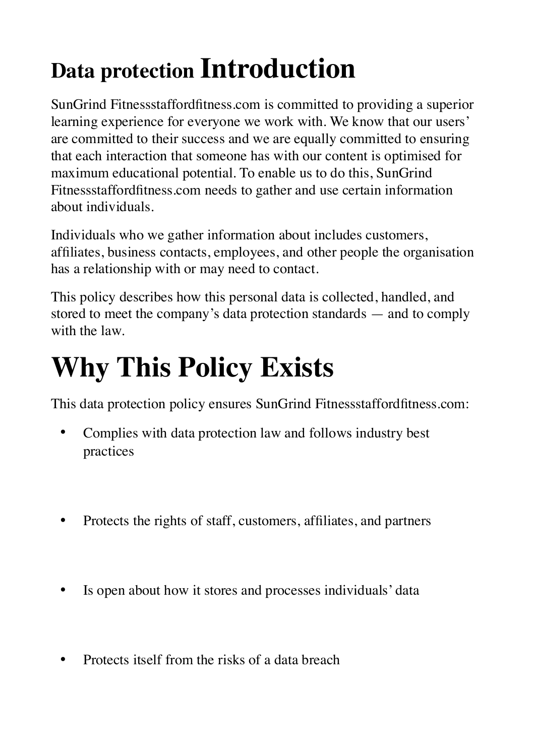### **Data protection Introduction**

SunGrind Fitnessstaffordfitness.com is committed to providing a superior learning experience for everyone we work with. We know that our users' are committed to their success and we are equally committed to ensuring that each interaction that someone has with our content is optimised for maximum educational potential. To enable us to do this, SunGrind Fitnessstaffordfitness.com needs to gather and use certain information about individuals.

Individuals who we gather information about includes customers, affiliates, business contacts, employees, and other people the organisation has a relationship with or may need to contact.

This policy describes how this personal data is collected, handled, and stored to meet the company's data protection standards — and to comply with the law.

## **Why This Policy Exists**

This data protection policy ensures SunGrind Fitnessstaffordfitness.com:

- Complies with data protection law and follows industry best practices
- Protects the rights of staff, customers, affiliates, and partners
- Is open about how it stores and processes individuals' data
- Protects itself from the risks of a data breach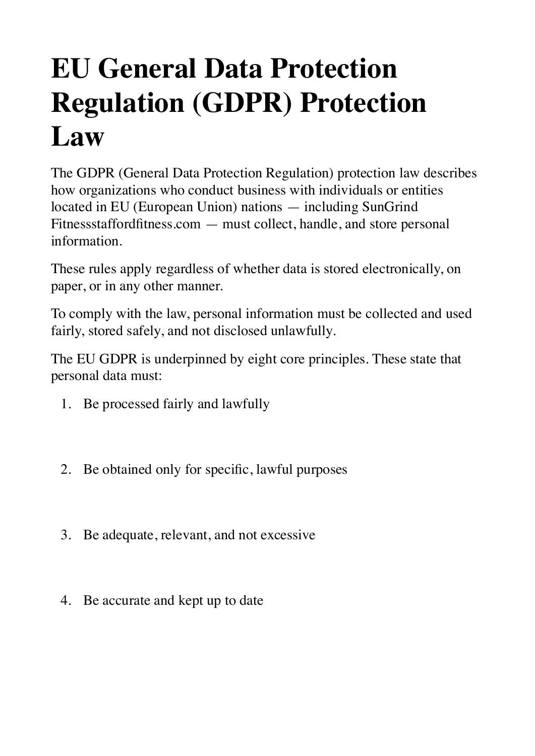## **EU General Data Protection Regulation (GDPR) Protection Law**

The GDPR (General Data Protection Regulation) protection law describes how organizations who conduct business with individuals or entities located in EU (European Union) nations — including SunGrind Fitnessstaffordfitness.com — must collect, handle, and store personal information.

These rules apply regardless of whether data is stored electronically, on paper, or in any other manner.

To comply with the law, personal information must be collected and used fairly, stored safely, and not disclosed unlawfully.

The EU GDPR is underpinned by eight core principles. These state that personal data must:

- 1. Be processed fairly and lawfully
- 2. Be obtained only for specific, lawful purposes
- 3. Be adequate, relevant, and not excessive
- 4. Be accurate and kept up to date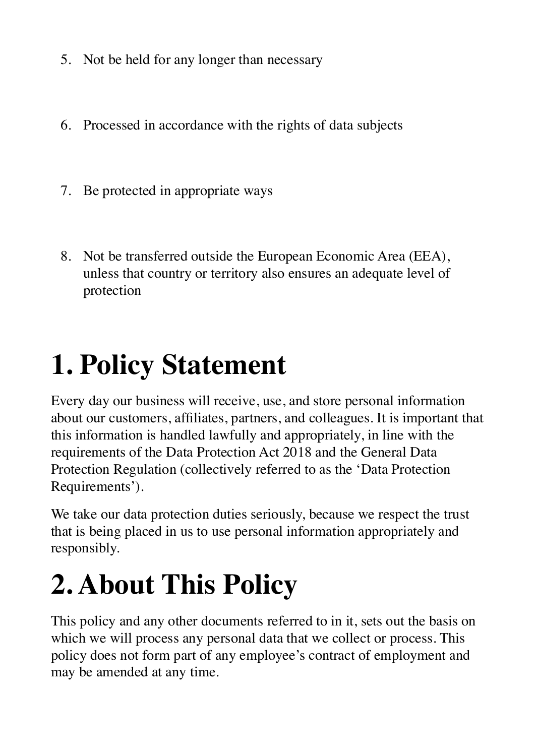- 5. Not be held for any longer than necessary
- 6. Processed in accordance with the rights of data subjects
- 7. Be protected in appropriate ways
- 8. Not be transferred outside the European Economic Area (EEA), unless that country or territory also ensures an adequate level of protection

### **1. Policy Statement**

Every day our business will receive, use, and store personal information about our customers, affiliates, partners, and colleagues. It is important that this information is handled lawfully and appropriately, in line with the requirements of the Data Protection Act 2018 and the General Data Protection Regulation (collectively referred to as the 'Data Protection Requirements').

We take our data protection duties seriously, because we respect the trust that is being placed in us to use personal information appropriately and responsibly.

### **2. About This Policy**

This policy and any other documents referred to in it, sets out the basis on which we will process any personal data that we collect or process. This policy does not form part of any employee's contract of employment and may be amended at any time.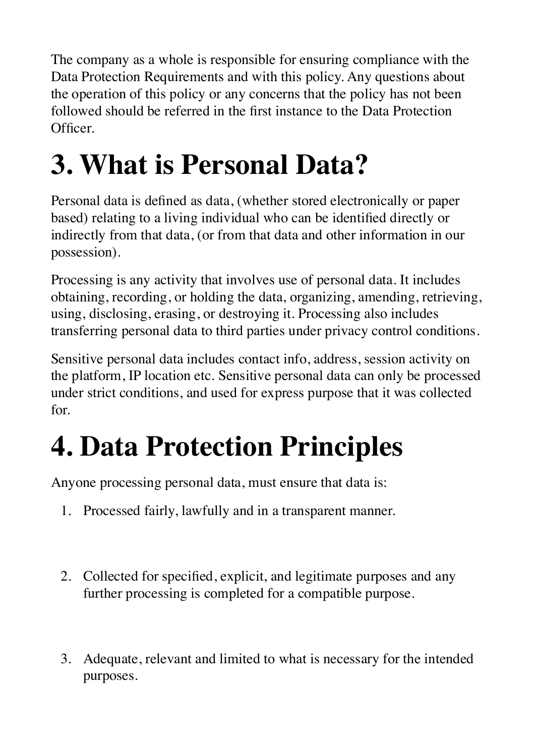The company as a whole is responsible for ensuring compliance with the Data Protection Requirements and with this policy. Any questions about the operation of this policy or any concerns that the policy has not been followed should be referred in the first instance to the Data Protection Officer.

## **3. What is Personal Data?**

Personal data is defined as data, (whether stored electronically or paper based) relating to a living individual who can be identified directly or indirectly from that data, (or from that data and other information in our possession).

Processing is any activity that involves use of personal data. It includes obtaining, recording, or holding the data, organizing, amending, retrieving, using, disclosing, erasing, or destroying it. Processing also includes transferring personal data to third parties under privacy control conditions.

Sensitive personal data includes contact info, address, session activity on the platform, IP location etc. Sensitive personal data can only be processed under strict conditions, and used for express purpose that it was collected for.

## **4. Data Protection Principles**

Anyone processing personal data, must ensure that data is:

- 1. Processed fairly, lawfully and in a transparent manner.
- 2. Collected for specified, explicit, and legitimate purposes and any further processing is completed for a compatible purpose.
- 3. Adequate, relevant and limited to what is necessary for the intended purposes.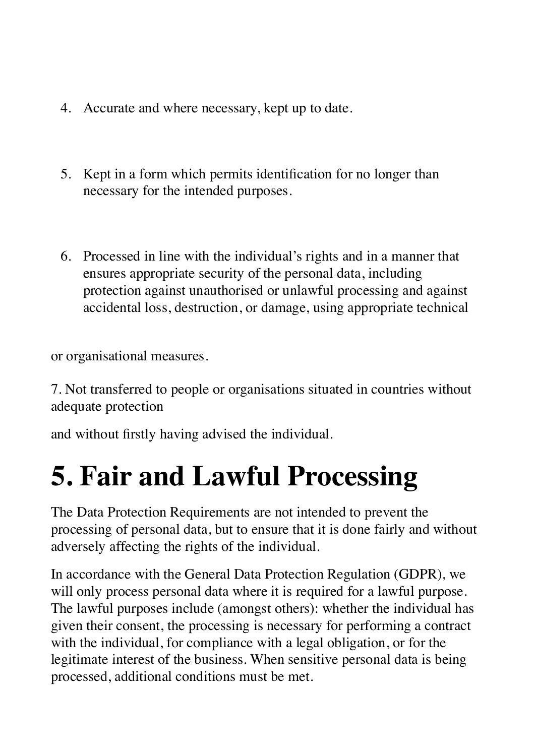- 4. Accurate and where necessary, kept up to date.
- 5. Kept in a form which permits identification for no longer than necessary for the intended purposes.
- 6. Processed in line with the individual's rights and in a manner that ensures appropriate security of the personal data, including protection against unauthorised or unlawful processing and against accidental loss, destruction, or damage, using appropriate technical

or organisational measures.

7. Not transferred to people or organisations situated in countries without adequate protection

and without firstly having advised the individual.

### **5. Fair and Lawful Processing**

The Data Protection Requirements are not intended to prevent the processing of personal data, but to ensure that it is done fairly and without adversely affecting the rights of the individual.

In accordance with the General Data Protection Regulation (GDPR), we will only process personal data where it is required for a lawful purpose. The lawful purposes include (amongst others): whether the individual has given their consent, the processing is necessary for performing a contract with the individual, for compliance with a legal obligation, or for the legitimate interest of the business. When sensitive personal data is being processed, additional conditions must be met.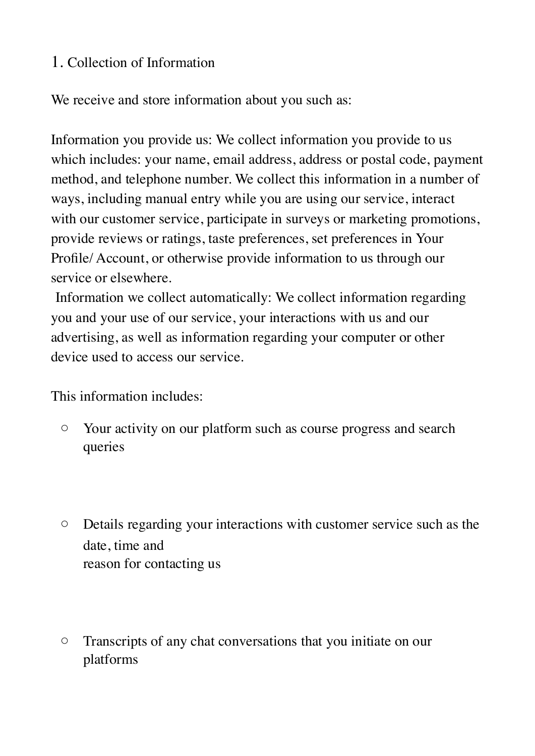### 1. Collection of Information

We receive and store information about you such as:

Information you provide us: We collect information you provide to us which includes: your name, email address, address or postal code, payment method, and telephone number. We collect this information in a number of ways, including manual entry while you are using our service, interact with our customer service, participate in surveys or marketing promotions, provide reviews or ratings, taste preferences, set preferences in Your Profile/ Account, or otherwise provide information to us through our service or elsewhere.

Information we collect automatically: We collect information regarding you and your use of our service, your interactions with us and our advertising, as well as information regarding your computer or other device used to access our service.

This information includes:

- Your activity on our platform such as course progress and search queries
- Details regarding your interactions with customer service such as the date, time and reason for contacting us
- Transcripts of any chat conversations that you initiate on our platforms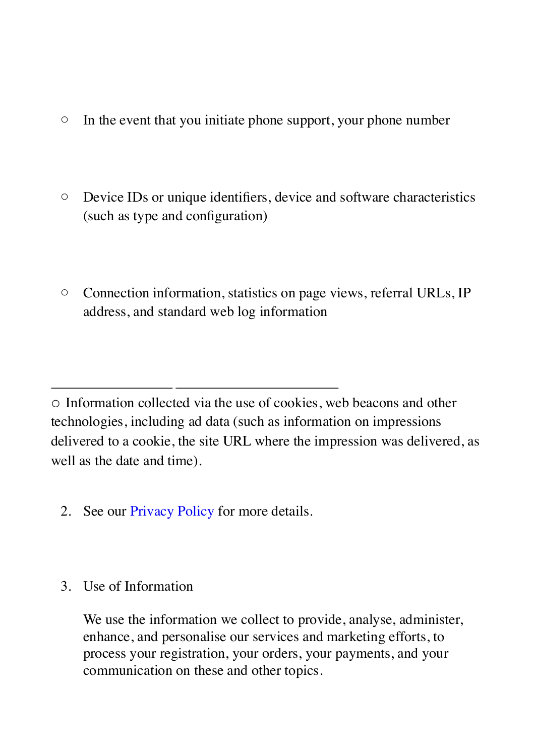- In the event that you initiate phone support, your phone number
- Device IDs or unique identifiers, device and software characteristics (such as type and configuration)
- Connection information, statistics on page views, referral URLs, IP address, and standard web log information

- 2. See our Privacy Policy for more details.
- 3. Use of Information

We use the information we collect to provide, analyse, administer, enhance, and personalise our services and marketing efforts, to process your registration, your orders, your payments, and your communication on these and other topics.

<sup>◦</sup> Information collected via the use of cookies, web beacons and other technologies, including ad data (such as information on impressions delivered to a cookie, the site URL where the impression was delivered, as well as the date and time).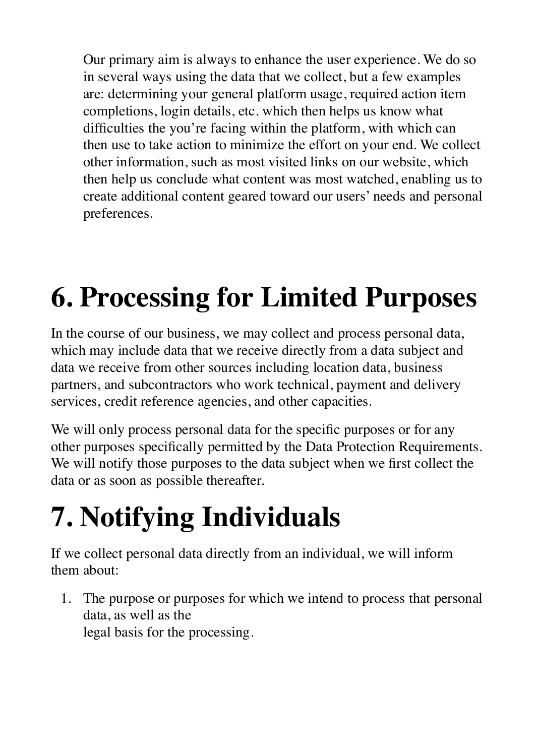Our primary aim is always to enhance the user experience. We do so in several ways using the data that we collect, but a few examples are: determining your general platform usage, required action item completions, login details, etc. which then helps us know what difficulties the you're facing within the platform, with which can then use to take action to minimize the effort on your end. We collect other information, such as most visited links on our website, which then help us conclude what content was most watched, enabling us to create additional content geared toward our users' needs and personal preferences.

## **6. Processing for Limited Purposes**

In the course of our business, we may collect and process personal data, which may include data that we receive directly from a data subject and data we receive from other sources including location data, business partners, and subcontractors who work technical, payment and delivery services, credit reference agencies, and other capacities.

We will only process personal data for the specific purposes or for any other purposes specifically permitted by the Data Protection Requirements. We will notify those purposes to the data subject when we first collect the data or as soon as possible thereafter.

## **7. Notifying Individuals**

If we collect personal data directly from an individual, we will inform them about:

1. The purpose or purposes for which we intend to process that personal data, as well as the legal basis for the processing.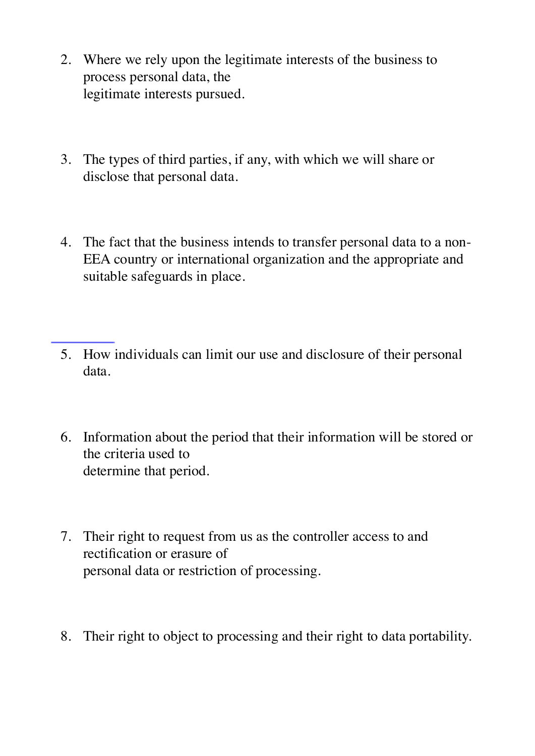- 2. Where we rely upon the legitimate interests of the business to process personal data, the legitimate interests pursued.
- 3. The types of third parties, if any, with which we will share or disclose that personal data.
- 4. The fact that the business intends to transfer personal data to a non-EEA country or international organization and the appropriate and suitable safeguards in place.
- 5. How individuals can limit our use and disclosure of their personal data.
- 6. Information about the period that their information will be stored or the criteria used to determine that period.
- 7. Their right to request from us as the controller access to and rectification or erasure of personal data or restriction of processing.
- 8. Their right to object to processing and their right to data portability.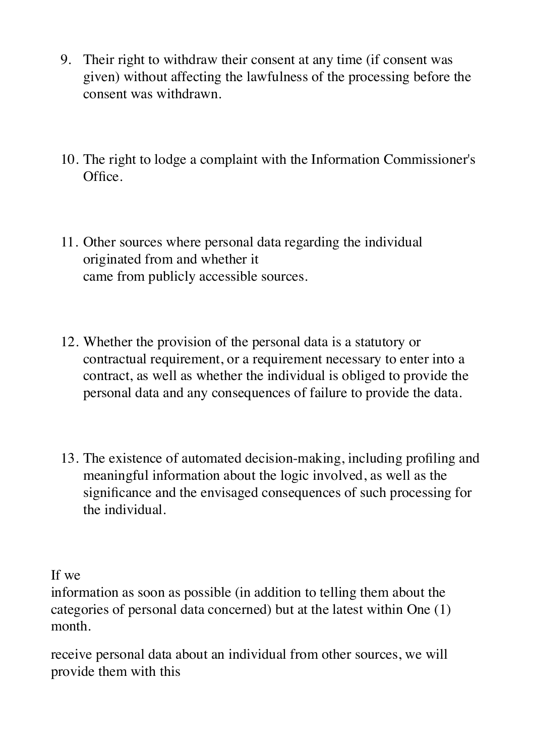- 9. Their right to withdraw their consent at any time (if consent was given) without affecting the lawfulness of the processing before the consent was withdrawn.
- 10. The right to lodge a complaint with the Information Commissioner's Office.
- 11. Other sources where personal data regarding the individual originated from and whether it came from publicly accessible sources.
- 12. Whether the provision of the personal data is a statutory or contractual requirement, or a requirement necessary to enter into a contract, as well as whether the individual is obliged to provide the personal data and any consequences of failure to provide the data.
- 13. The existence of automated decision-making, including profiling and meaningful information about the logic involved, as well as the significance and the envisaged consequences of such processing for the individual.

If we

information as soon as possible (in addition to telling them about the categories of personal data concerned) but at the latest within One (1) month.

receive personal data about an individual from other sources, we will provide them with this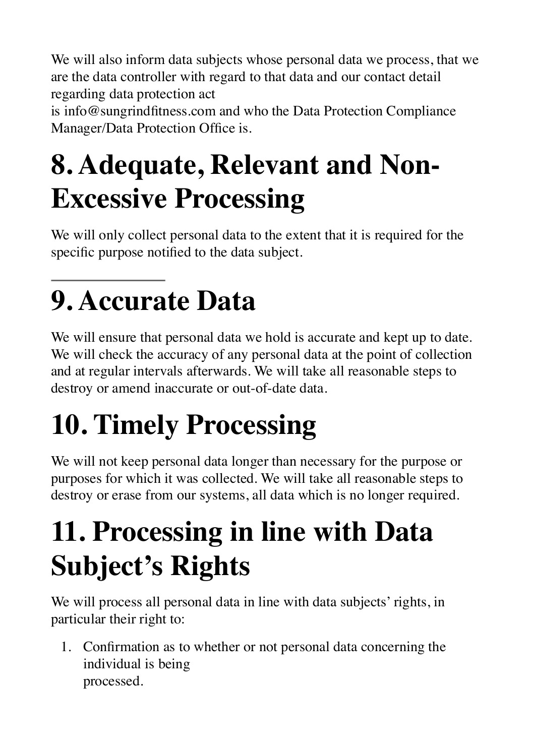We will also inform data subjects whose personal data we process, that we are the data controller with regard to that data and our contact detail regarding data protection act

is info@sungrindfitness.com and who the Data Protection Compliance Manager/Data Protection Office is.

## **8. Adequate, Relevant and Non-Excessive Processing**

We will only collect personal data to the extent that it is required for the specific purpose notified to the data subject.

## **9. Accurate Data**

We will ensure that personal data we hold is accurate and kept up to date. We will check the accuracy of any personal data at the point of collection and at regular intervals afterwards. We will take all reasonable steps to destroy or amend inaccurate or out-of-date data.

# **10. Timely Processing**

We will not keep personal data longer than necessary for the purpose or purposes for which it was collected. We will take all reasonable steps to destroy or erase from our systems, all data which is no longer required.

## **11. Processing in line with Data Subject's Rights**

We will process all personal data in line with data subjects' rights, in particular their right to:

1. Confirmation as to whether or not personal data concerning the individual is being processed.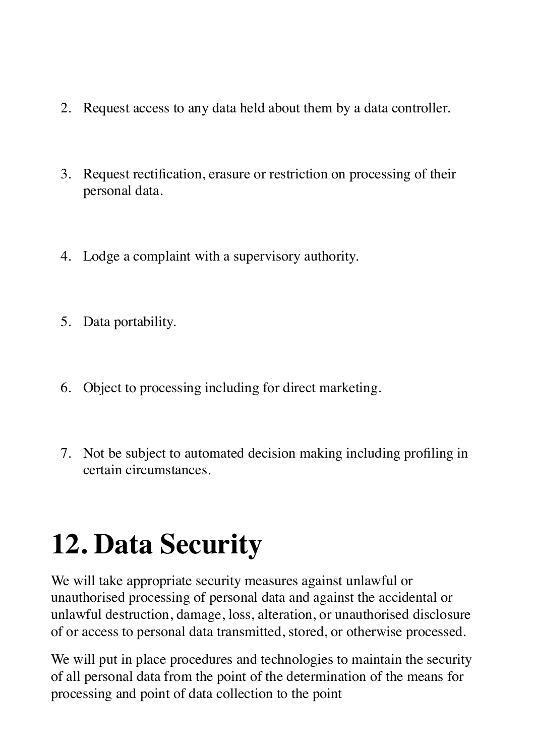- 2. Request access to any data held about them by a data controller.
- 3. Request rectification, erasure or restriction on processing of their personal data.
- 4. Lodge a complaint with a supervisory authority.
- 5. Data portability.
- 6. Object to processing including for direct marketing.
- 7. Not be subject to automated decision making including profiling in certain circumstances.

### **12. Data Security**

We will take appropriate security measures against unlawful or unauthorised processing of personal data and against the accidental or unlawful destruction, damage, loss, alteration, or unauthorised disclosure of or access to personal data transmitted, stored, or otherwise processed.

We will put in place procedures and technologies to maintain the security of all personal data from the point of the determination of the means for processing and point of data collection to the point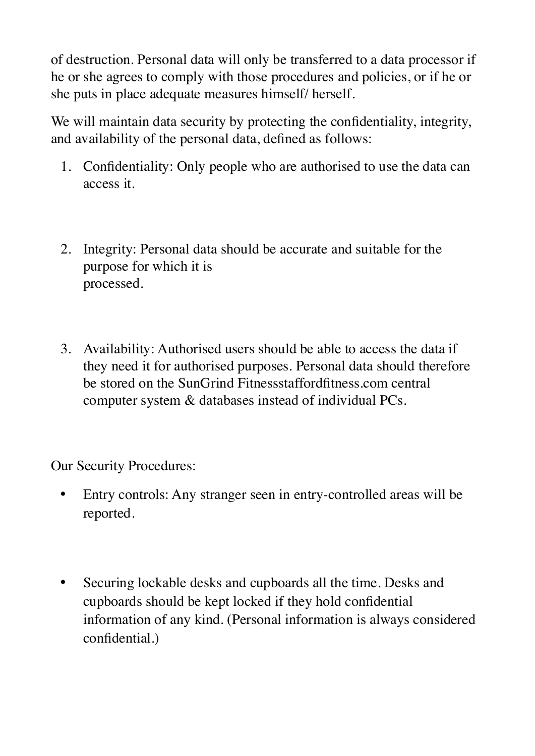of destruction. Personal data will only be transferred to a data processor if he or she agrees to comply with those procedures and policies, or if he or she puts in place adequate measures himself/ herself.

We will maintain data security by protecting the confidentiality, integrity, and availability of the personal data, defined as follows:

- 1. Confidentiality: Only people who are authorised to use the data can access it.
- 2. Integrity: Personal data should be accurate and suitable for the purpose for which it is processed.
- 3. Availability: Authorised users should be able to access the data if they need it for authorised purposes. Personal data should therefore be stored on the SunGrind Fitnessstaffordfitness.com central computer system & databases instead of individual PCs.

Our Security Procedures:

- Entry controls: Any stranger seen in entry-controlled areas will be reported.
- Securing lockable desks and cupboards all the time. Desks and cupboards should be kept locked if they hold confidential information of any kind. (Personal information is always considered confidential.)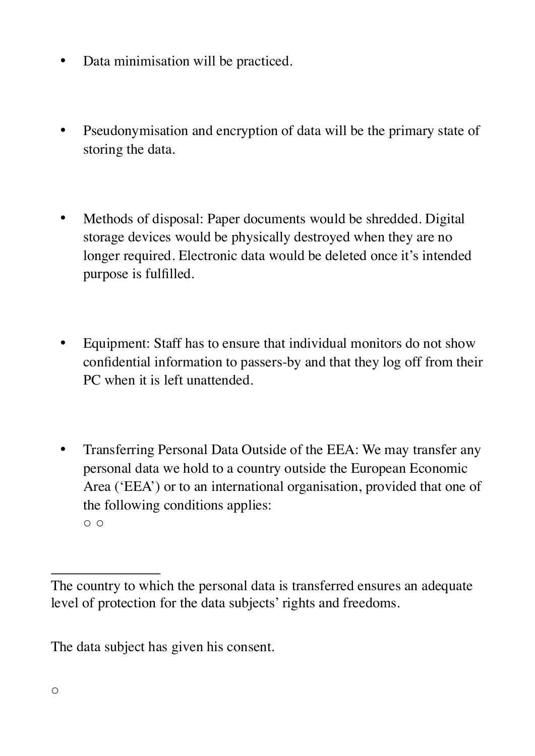- Data minimisation will be practiced.
- Pseudonymisation and encryption of data will be the primary state of storing the data.
- Methods of disposal: Paper documents would be shredded. Digital storage devices would be physically destroyed when they are no longer required. Electronic data would be deleted once it's intended purpose is fulfilled.
- Equipment: Staff has to ensure that individual monitors do not show confidential information to passers-by and that they log off from their PC when it is left unattended.
- Transferring Personal Data Outside of the EEA: We may transfer any personal data we hold to a country outside the European Economic Area ('EEA') or to an international organisation, provided that one of the following conditions applies:  $\circ$

The data subject has given his consent.

The country to which the personal data is transferred ensures an adequate level of protection for the data subjects' rights and freedoms.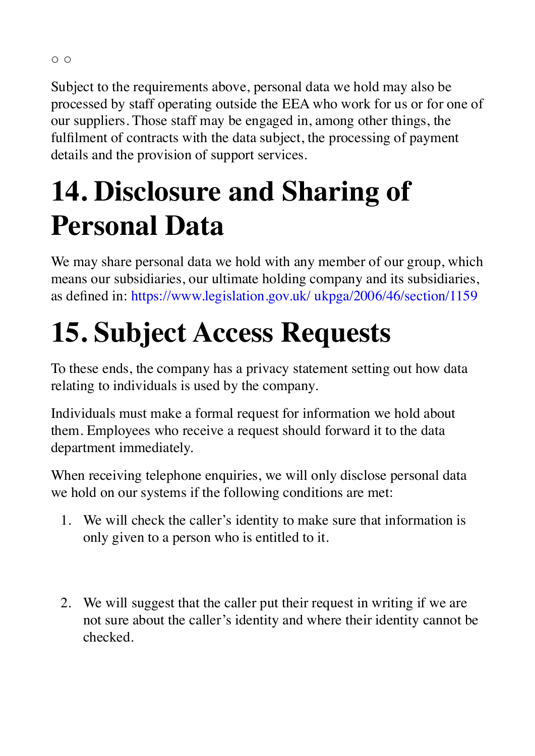Subject to the requirements above, personal data we hold may also be processed by staff operating outside the EEA who work for us or for one of our suppliers. Those staff may be engaged in, among other things, the fulfilment of contracts with the data subject, the processing of payment

## **14. Disclosure and Sharing of Personal Data**

details and the provision of support services.

We may share personal data we hold with any member of our group, which means our subsidiaries, our ultimate holding company and its subsidiaries, as defined in: https://www.legislation.gov.uk/ ukpga/2006/46/section/1159

# **15. Subject Access Requests**

To these ends, the company has a privacy statement setting out how data relating to individuals is used by the company.

Individuals must make a formal request for information we hold about them. Employees who receive a request should forward it to the data department immediately.

When receiving telephone enquiries, we will only disclose personal data we hold on our systems if the following conditions are met:

- 1. We will check the caller's identity to make sure that information is only given to a person who is entitled to it.
- 2. We will suggest that the caller put their request in writing if we are not sure about the caller's identity and where their identity cannot be checked.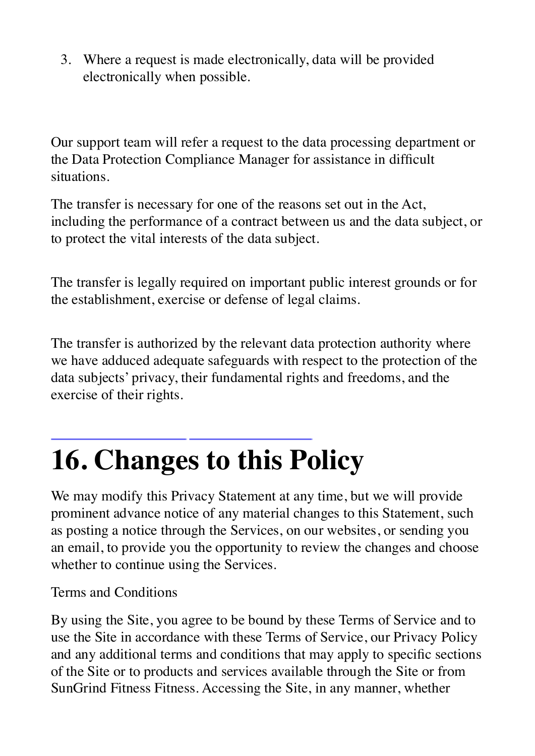3. Where a request is made electronically, data will be provided electronically when possible.

Our support team will refer a request to the data processing department or the Data Protection Compliance Manager for assistance in difficult situations.

The transfer is necessary for one of the reasons set out in the Act, including the performance of a contract between us and the data subject, or to protect the vital interests of the data subject.

The transfer is legally required on important public interest grounds or for the establishment, exercise or defense of legal claims.

The transfer is authorized by the relevant data protection authority where we have adduced adequate safeguards with respect to the protection of the data subjects' privacy, their fundamental rights and freedoms, and the exercise of their rights.

### **16. Changes to this Policy**

We may modify this Privacy Statement at any time, but we will provide prominent advance notice of any material changes to this Statement, such as posting a notice through the Services, on our websites, or sending you an email, to provide you the opportunity to review the changes and choose whether to continue using the Services.

Terms and Conditions

By using the Site, you agree to be bound by these Terms of Service and to use the Site in accordance with these Terms of Service, our Privacy Policy and any additional terms and conditions that may apply to specific sections of the Site or to products and services available through the Site or from SunGrind Fitness Fitness. Accessing the Site, in any manner, whether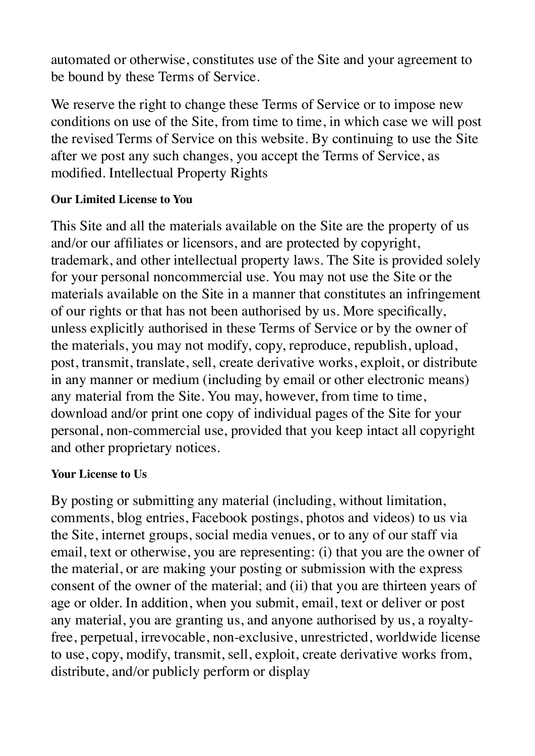automated or otherwise, constitutes use of the Site and your agreement to be bound by these Terms of Service.

We reserve the right to change these Terms of Service or to impose new conditions on use of the Site, from time to time, in which case we will post the revised Terms of Service on this website. By continuing to use the Site after we post any such changes, you accept the Terms of Service, as modified. Intellectual Property Rights

#### **Our Limited License to You**

This Site and all the materials available on the Site are the property of us and/or our affiliates or licensors, and are protected by copyright, trademark, and other intellectual property laws. The Site is provided solely for your personal noncommercial use. You may not use the Site or the materials available on the Site in a manner that constitutes an infringement of our rights or that has not been authorised by us. More specifically, unless explicitly authorised in these Terms of Service or by the owner of the materials, you may not modify, copy, reproduce, republish, upload, post, transmit, translate, sell, create derivative works, exploit, or distribute in any manner or medium (including by email or other electronic means) any material from the Site. You may, however, from time to time, download and/or print one copy of individual pages of the Site for your personal, non-commercial use, provided that you keep intact all copyright and other proprietary notices.

### **Your License to Us**

By posting or submitting any material (including, without limitation, comments, blog entries, Facebook postings, photos and videos) to us via the Site, internet groups, social media venues, or to any of our staff via email, text or otherwise, you are representing: (i) that you are the owner of the material, or are making your posting or submission with the express consent of the owner of the material; and (ii) that you are thirteen years of age or older. In addition, when you submit, email, text or deliver or post any material, you are granting us, and anyone authorised by us, a royaltyfree, perpetual, irrevocable, non-exclusive, unrestricted, worldwide license to use, copy, modify, transmit, sell, exploit, create derivative works from, distribute, and/or publicly perform or display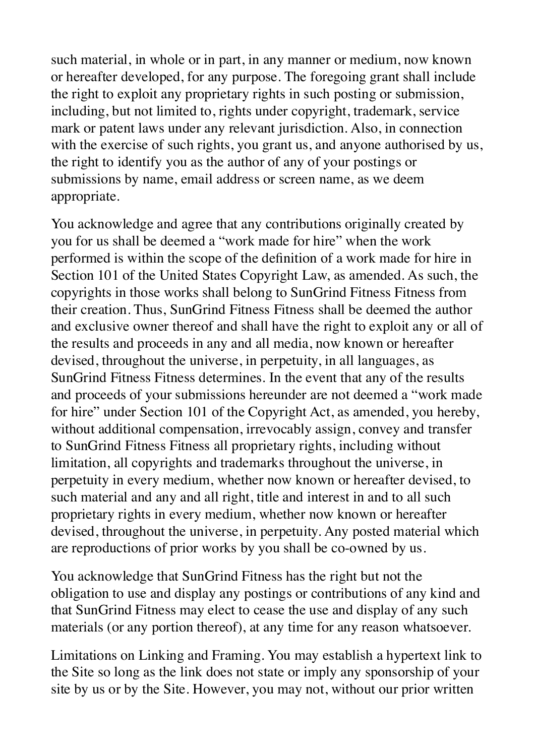such material, in whole or in part, in any manner or medium, now known or hereafter developed, for any purpose. The foregoing grant shall include the right to exploit any proprietary rights in such posting or submission, including, but not limited to, rights under copyright, trademark, service mark or patent laws under any relevant jurisdiction. Also, in connection with the exercise of such rights, you grant us, and anyone authorised by us, the right to identify you as the author of any of your postings or submissions by name, email address or screen name, as we deem appropriate.

You acknowledge and agree that any contributions originally created by you for us shall be deemed a "work made for hire" when the work performed is within the scope of the definition of a work made for hire in Section 101 of the United States Copyright Law, as amended. As such, the copyrights in those works shall belong to SunGrind Fitness Fitness from their creation. Thus, SunGrind Fitness Fitness shall be deemed the author and exclusive owner thereof and shall have the right to exploit any or all of the results and proceeds in any and all media, now known or hereafter devised, throughout the universe, in perpetuity, in all languages, as SunGrind Fitness Fitness determines. In the event that any of the results and proceeds of your submissions hereunder are not deemed a "work made for hire" under Section 101 of the Copyright Act, as amended, you hereby, without additional compensation, irrevocably assign, convey and transfer to SunGrind Fitness Fitness all proprietary rights, including without limitation, all copyrights and trademarks throughout the universe, in perpetuity in every medium, whether now known or hereafter devised, to such material and any and all right, title and interest in and to all such proprietary rights in every medium, whether now known or hereafter devised, throughout the universe, in perpetuity. Any posted material which are reproductions of prior works by you shall be co-owned by us.

You acknowledge that SunGrind Fitness has the right but not the obligation to use and display any postings or contributions of any kind and that SunGrind Fitness may elect to cease the use and display of any such materials (or any portion thereof), at any time for any reason whatsoever.

Limitations on Linking and Framing. You may establish a hypertext link to the Site so long as the link does not state or imply any sponsorship of your site by us or by the Site. However, you may not, without our prior written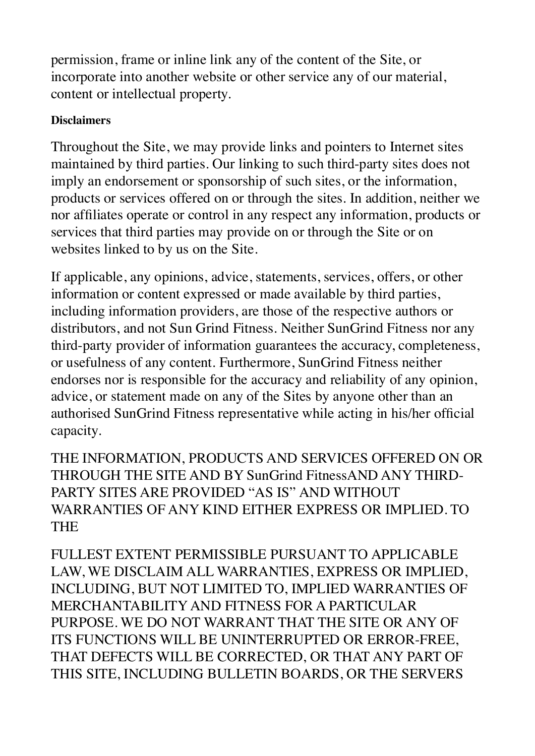permission, frame or inline link any of the content of the Site, or incorporate into another website or other service any of our material, content or intellectual property.

#### **Disclaimers**

Throughout the Site, we may provide links and pointers to Internet sites maintained by third parties. Our linking to such third-party sites does not imply an endorsement or sponsorship of such sites, or the information, products or services offered on or through the sites. In addition, neither we nor affiliates operate or control in any respect any information, products or services that third parties may provide on or through the Site or on websites linked to by us on the Site.

If applicable, any opinions, advice, statements, services, offers, or other information or content expressed or made available by third parties, including information providers, are those of the respective authors or distributors, and not Sun Grind Fitness. Neither SunGrind Fitness nor any third-party provider of information guarantees the accuracy, completeness, or usefulness of any content. Furthermore, SunGrind Fitness neither endorses nor is responsible for the accuracy and reliability of any opinion, advice, or statement made on any of the Sites by anyone other than an authorised SunGrind Fitness representative while acting in his/her official capacity.

THE INFORMATION, PRODUCTS AND SERVICES OFFERED ON OR THROUGH THE SITE AND BY SunGrind FitnessAND ANY THIRD-PARTY SITES ARE PROVIDED "AS IS" AND WITHOUT WARRANTIES OF ANY KIND EITHER EXPRESS OR IMPLIED. TO **THE** 

FULLEST EXTENT PERMISSIBLE PURSUANT TO APPLICABLE LAW, WE DISCLAIM ALL WARRANTIES, EXPRESS OR IMPLIED, INCLUDING, BUT NOT LIMITED TO, IMPLIED WARRANTIES OF MERCHANTABILITY AND FITNESS FOR A PARTICULAR PURPOSE. WE DO NOT WARRANT THAT THE SITE OR ANY OF ITS FUNCTIONS WILL BE UNINTERRUPTED OR ERROR-FREE, THAT DEFECTS WILL BE CORRECTED, OR THAT ANY PART OF THIS SITE, INCLUDING BULLETIN BOARDS, OR THE SERVERS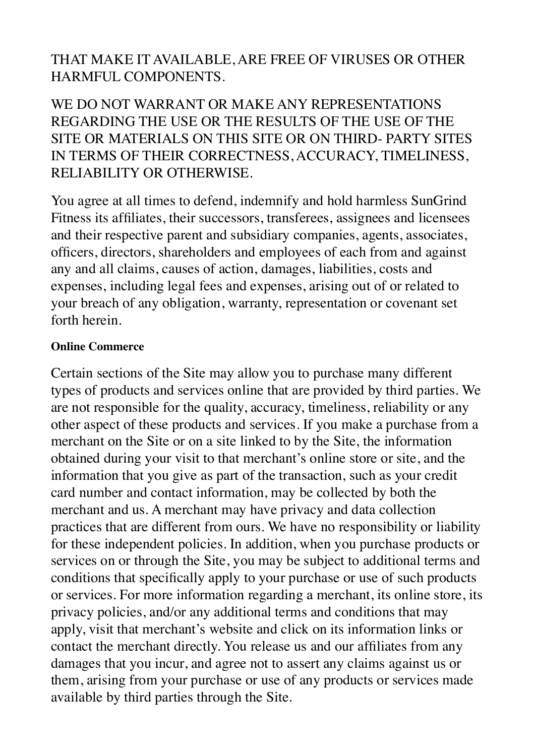### THAT MAKE IT AVAILABLE, ARE FREE OF VIRUSES OR OTHER HARMFUL COMPONENTS.

WE DO NOT WARRANT OR MAKE ANY REPRESENTATIONS REGARDING THE USE OR THE RESULTS OF THE USE OF THE SITE OR MATERIALS ON THIS SITE OR ON THIRD- PARTY SITES IN TERMS OF THEIR CORRECTNESS, ACCURACY, TIMELINESS, RELIABILITY OR OTHERWISE.

You agree at all times to defend, indemnify and hold harmless SunGrind Fitness its affiliates, their successors, transferees, assignees and licensees and their respective parent and subsidiary companies, agents, associates, officers, directors, shareholders and employees of each from and against any and all claims, causes of action, damages, liabilities, costs and expenses, including legal fees and expenses, arising out of or related to your breach of any obligation, warranty, representation or covenant set forth herein.

#### **Online Commerce**

Certain sections of the Site may allow you to purchase many different types of products and services online that are provided by third parties. We are not responsible for the quality, accuracy, timeliness, reliability or any other aspect of these products and services. If you make a purchase from a merchant on the Site or on a site linked to by the Site, the information obtained during your visit to that merchant's online store or site, and the information that you give as part of the transaction, such as your credit card number and contact information, may be collected by both the merchant and us. A merchant may have privacy and data collection practices that are different from ours. We have no responsibility or liability for these independent policies. In addition, when you purchase products or services on or through the Site, you may be subject to additional terms and conditions that specifically apply to your purchase or use of such products or services. For more information regarding a merchant, its online store, its privacy policies, and/or any additional terms and conditions that may apply, visit that merchant's website and click on its information links or contact the merchant directly. You release us and our affiliates from any damages that you incur, and agree not to assert any claims against us or them, arising from your purchase or use of any products or services made available by third parties through the Site.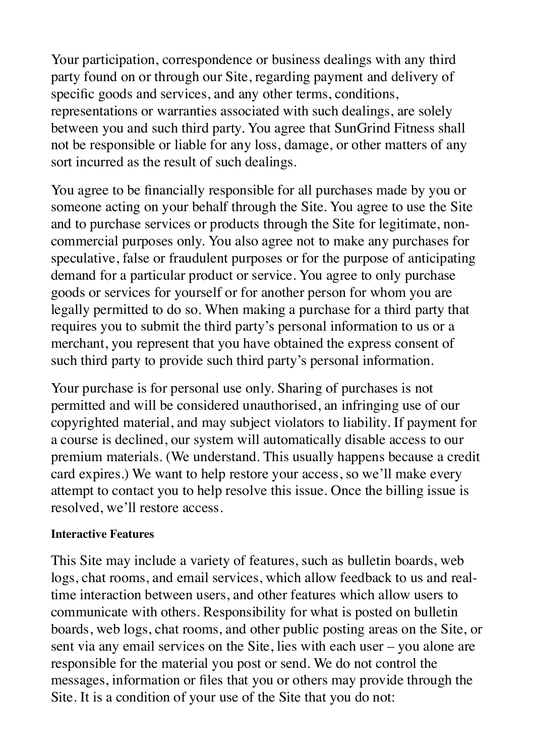Your participation, correspondence or business dealings with any third party found on or through our Site, regarding payment and delivery of specific goods and services, and any other terms, conditions, representations or warranties associated with such dealings, are solely between you and such third party. You agree that SunGrind Fitness shall not be responsible or liable for any loss, damage, or other matters of any sort incurred as the result of such dealings.

You agree to be financially responsible for all purchases made by you or someone acting on your behalf through the Site. You agree to use the Site and to purchase services or products through the Site for legitimate, noncommercial purposes only. You also agree not to make any purchases for speculative, false or fraudulent purposes or for the purpose of anticipating demand for a particular product or service. You agree to only purchase goods or services for yourself or for another person for whom you are legally permitted to do so. When making a purchase for a third party that requires you to submit the third party's personal information to us or a merchant, you represent that you have obtained the express consent of such third party to provide such third party's personal information.

Your purchase is for personal use only. Sharing of purchases is not permitted and will be considered unauthorised, an infringing use of our copyrighted material, and may subject violators to liability. If payment for a course is declined, our system will automatically disable access to our premium materials. (We understand. This usually happens because a credit card expires.) We want to help restore your access, so we'll make every attempt to contact you to help resolve this issue. Once the billing issue is resolved, we'll restore access.

#### **Interactive Features**

This Site may include a variety of features, such as bulletin boards, web logs, chat rooms, and email services, which allow feedback to us and realtime interaction between users, and other features which allow users to communicate with others. Responsibility for what is posted on bulletin boards, web logs, chat rooms, and other public posting areas on the Site, or sent via any email services on the Site, lies with each user – you alone are responsible for the material you post or send. We do not control the messages, information or files that you or others may provide through the Site. It is a condition of your use of the Site that you do not: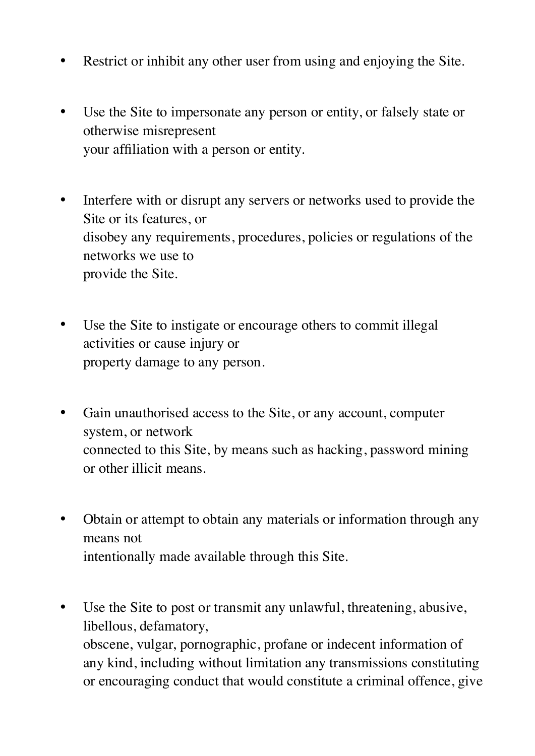- Restrict or inhibit any other user from using and enjoying the Site.
- Use the Site to impersonate any person or entity, or falsely state or otherwise misrepresent your affiliation with a person or entity.
- Interfere with or disrupt any servers or networks used to provide the Site or its features, or disobey any requirements, procedures, policies or regulations of the networks we use to provide the Site.
- Use the Site to instigate or encourage others to commit illegal activities or cause injury or property damage to any person.
- Gain unauthorised access to the Site, or any account, computer system, or network connected to this Site, by means such as hacking, password mining or other illicit means.
- Obtain or attempt to obtain any materials or information through any means not intentionally made available through this Site.
- Use the Site to post or transmit any unlawful, threatening, abusive, libellous, defamatory, obscene, vulgar, pornographic, profane or indecent information of any kind, including without limitation any transmissions constituting or encouraging conduct that would constitute a criminal offence, give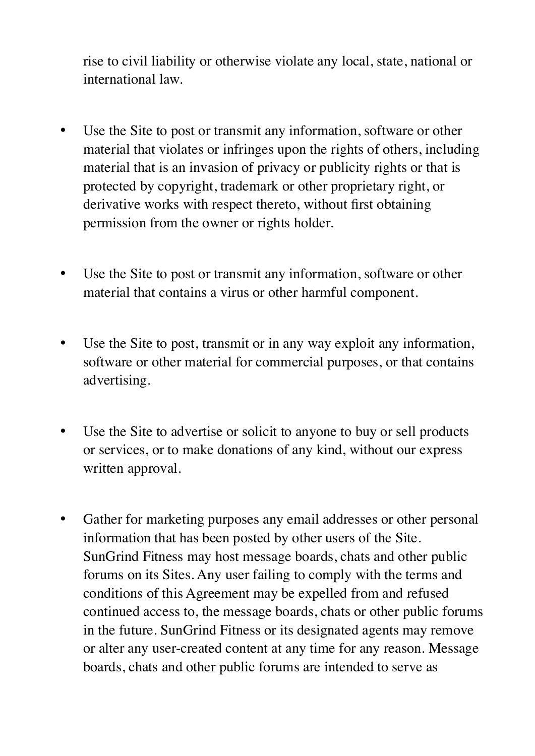rise to civil liability or otherwise violate any local, state, national or international law.

- Use the Site to post or transmit any information, software or other material that violates or infringes upon the rights of others, including material that is an invasion of privacy or publicity rights or that is protected by copyright, trademark or other proprietary right, or derivative works with respect thereto, without first obtaining permission from the owner or rights holder.
- Use the Site to post or transmit any information, software or other material that contains a virus or other harmful component.
- Use the Site to post, transmit or in any way exploit any information, software or other material for commercial purposes, or that contains advertising.
- Use the Site to advertise or solicit to anyone to buy or sell products or services, or to make donations of any kind, without our express written approval.
- Gather for marketing purposes any email addresses or other personal information that has been posted by other users of the Site. SunGrind Fitness may host message boards, chats and other public forums on its Sites. Any user failing to comply with the terms and conditions of this Agreement may be expelled from and refused continued access to, the message boards, chats or other public forums in the future. SunGrind Fitness or its designated agents may remove or alter any user-created content at any time for any reason. Message boards, chats and other public forums are intended to serve as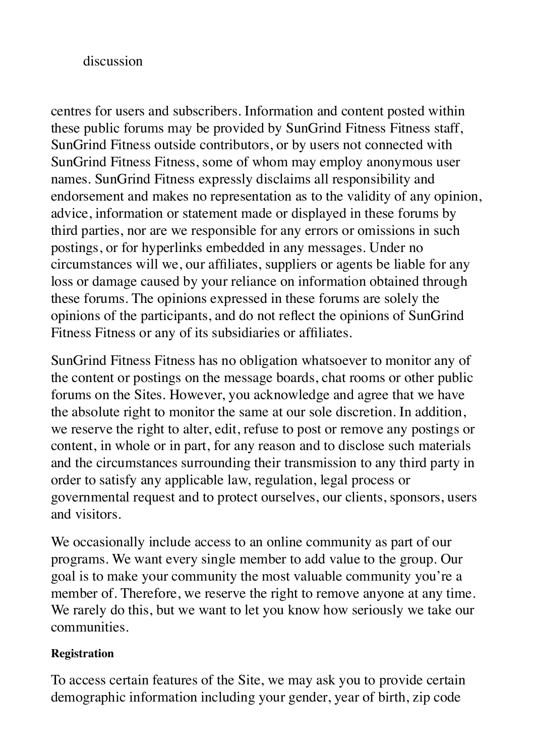### discussion

centres for users and subscribers. Information and content posted within these public forums may be provided by SunGrind Fitness Fitness staff, SunGrind Fitness outside contributors, or by users not connected with SunGrind Fitness Fitness, some of whom may employ anonymous user names. SunGrind Fitness expressly disclaims all responsibility and endorsement and makes no representation as to the validity of any opinion, advice, information or statement made or displayed in these forums by third parties, nor are we responsible for any errors or omissions in such postings, or for hyperlinks embedded in any messages. Under no circumstances will we, our affiliates, suppliers or agents be liable for any loss or damage caused by your reliance on information obtained through these forums. The opinions expressed in these forums are solely the opinions of the participants, and do not reflect the opinions of SunGrind Fitness Fitness or any of its subsidiaries or affiliates.

SunGrind Fitness Fitness has no obligation whatsoever to monitor any of the content or postings on the message boards, chat rooms or other public forums on the Sites. However, you acknowledge and agree that we have the absolute right to monitor the same at our sole discretion. In addition, we reserve the right to alter, edit, refuse to post or remove any postings or content, in whole or in part, for any reason and to disclose such materials and the circumstances surrounding their transmission to any third party in order to satisfy any applicable law, regulation, legal process or governmental request and to protect ourselves, our clients, sponsors, users and visitors.

We occasionally include access to an online community as part of our programs. We want every single member to add value to the group. Our goal is to make your community the most valuable community you're a member of. Therefore, we reserve the right to remove anyone at any time. We rarely do this, but we want to let you know how seriously we take our communities.

#### **Registration**

To access certain features of the Site, we may ask you to provide certain demographic information including your gender, year of birth, zip code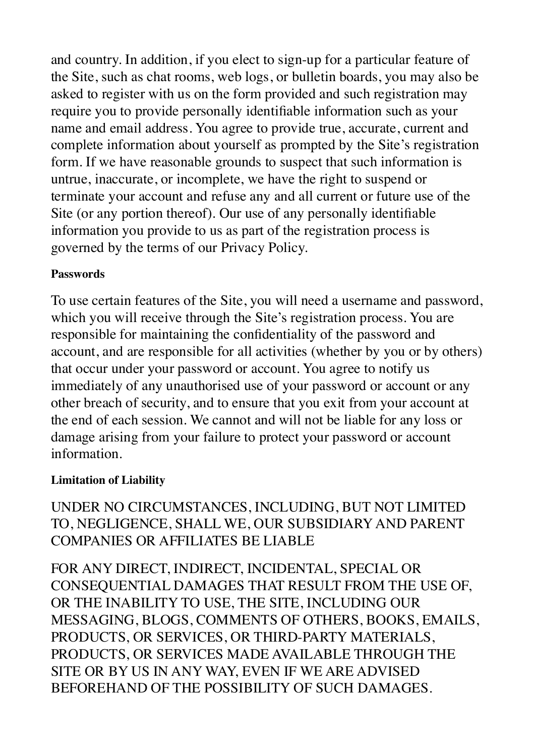and country. In addition, if you elect to sign-up for a particular feature of the Site, such as chat rooms, web logs, or bulletin boards, you may also be asked to register with us on the form provided and such registration may require you to provide personally identifiable information such as your name and email address. You agree to provide true, accurate, current and complete information about yourself as prompted by the Site's registration form. If we have reasonable grounds to suspect that such information is untrue, inaccurate, or incomplete, we have the right to suspend or terminate your account and refuse any and all current or future use of the Site (or any portion thereof). Our use of any personally identifiable information you provide to us as part of the registration process is governed by the terms of our Privacy Policy.

#### **Passwords**

To use certain features of the Site, you will need a username and password, which you will receive through the Site's registration process. You are responsible for maintaining the confidentiality of the password and account, and are responsible for all activities (whether by you or by others) that occur under your password or account. You agree to notify us immediately of any unauthorised use of your password or account or any other breach of security, and to ensure that you exit from your account at the end of each session. We cannot and will not be liable for any loss or damage arising from your failure to protect your password or account information.

### **Limitation of Liability**

### UNDER NO CIRCUMSTANCES, INCLUDING, BUT NOT LIMITED TO, NEGLIGENCE, SHALL WE, OUR SUBSIDIARY AND PARENT COMPANIES OR AFFILIATES BE LIABLE

FOR ANY DIRECT, INDIRECT, INCIDENTAL, SPECIAL OR CONSEQUENTIAL DAMAGES THAT RESULT FROM THE USE OF, OR THE INABILITY TO USE, THE SITE, INCLUDING OUR MESSAGING, BLOGS, COMMENTS OF OTHERS, BOOKS, EMAILS, PRODUCTS, OR SERVICES, OR THIRD-PARTY MATERIALS, PRODUCTS, OR SERVICES MADE AVAILABLE THROUGH THE SITE OR BY US IN ANY WAY, EVEN IF WE ARE ADVISED BEFOREHAND OF THE POSSIBILITY OF SUCH DAMAGES.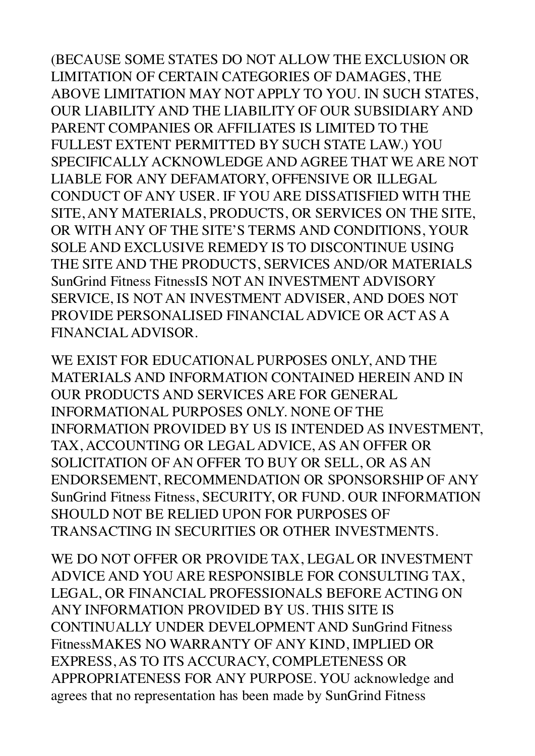(BECAUSE SOME STATES DO NOT ALLOW THE EXCLUSION OR LIMITATION OF CERTAIN CATEGORIES OF DAMAGES, THE ABOVE LIMITATION MAY NOT APPLY TO YOU. IN SUCH STATES, OUR LIABILITY AND THE LIABILITY OF OUR SUBSIDIARY AND PARENT COMPANIES OR AFFILIATES IS LIMITED TO THE FULLEST EXTENT PERMITTED BY SUCH STATE LAW.) YOU SPECIFICALLY ACKNOWLEDGE AND AGREE THAT WE ARE NOT LIABLE FOR ANY DEFAMATORY, OFFENSIVE OR ILLEGAL CONDUCT OF ANY USER. IF YOU ARE DISSATISFIED WITH THE SITE, ANY MATERIALS, PRODUCTS, OR SERVICES ON THE SITE, OR WITH ANY OF THE SITE'S TERMS AND CONDITIONS, YOUR SOLE AND EXCLUSIVE REMEDY IS TO DISCONTINUE USING THE SITE AND THE PRODUCTS, SERVICES AND/OR MATERIALS SunGrind Fitness FitnessIS NOT AN INVESTMENT ADVISORY SERVICE, IS NOT AN INVESTMENT ADVISER, AND DOES NOT PROVIDE PERSONALISED FINANCIAL ADVICE OR ACT AS A FINANCIAL ADVISOR.

WE EXIST FOR EDUCATIONAL PURPOSES ONLY, AND THE MATERIALS AND INFORMATION CONTAINED HEREIN AND IN OUR PRODUCTS AND SERVICES ARE FOR GENERAL INFORMATIONAL PURPOSES ONLY. NONE OF THE INFORMATION PROVIDED BY US IS INTENDED AS INVESTMENT, TAX, ACCOUNTING OR LEGAL ADVICE, AS AN OFFER OR SOLICITATION OF AN OFFER TO BUY OR SELL, OR AS AN ENDORSEMENT, RECOMMENDATION OR SPONSORSHIP OF ANY SunGrind Fitness Fitness, SECURITY, OR FUND. OUR INFORMATION SHOULD NOT BE RELIED UPON FOR PURPOSES OF TRANSACTING IN SECURITIES OR OTHER INVESTMENTS.

WE DO NOT OFFER OR PROVIDE TAX, LEGAL OR INVESTMENT ADVICE AND YOU ARE RESPONSIBLE FOR CONSULTING TAX, LEGAL, OR FINANCIAL PROFESSIONALS BEFORE ACTING ON ANY INFORMATION PROVIDED BY US. THIS SITE IS CONTINUALLY UNDER DEVELOPMENT AND SunGrind Fitness FitnessMAKES NO WARRANTY OF ANY KIND, IMPLIED OR EXPRESS, AS TO ITS ACCURACY, COMPLETENESS OR APPROPRIATENESS FOR ANY PURPOSE. YOU acknowledge and agrees that no representation has been made by SunGrind Fitness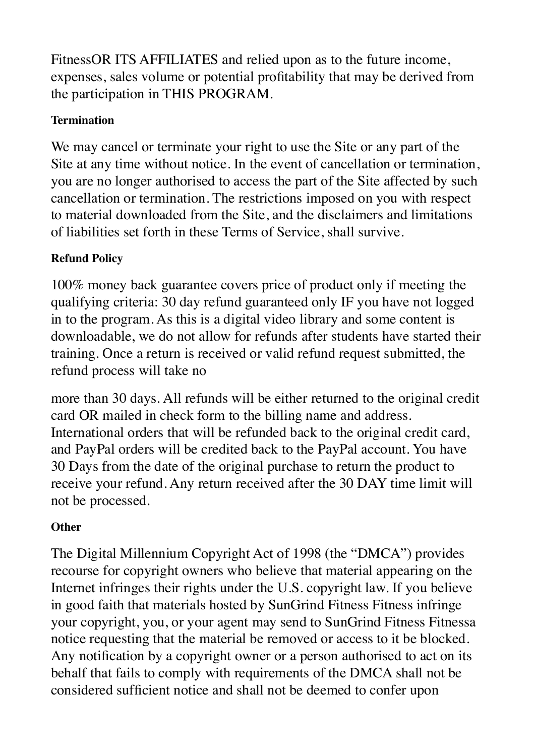FitnessOR ITS AFFILIATES and relied upon as to the future income, expenses, sales volume or potential profitability that may be derived from the participation in THIS PROGRAM.

### **Termination**

We may cancel or terminate your right to use the Site or any part of the Site at any time without notice. In the event of cancellation or termination, you are no longer authorised to access the part of the Site affected by such cancellation or termination. The restrictions imposed on you with respect to material downloaded from the Site, and the disclaimers and limitations of liabilities set forth in these Terms of Service, shall survive.

### **Refund Policy**

100% money back guarantee covers price of product only if meeting the qualifying criteria: 30 day refund guaranteed only IF you have not logged in to the program. As this is a digital video library and some content is downloadable, we do not allow for refunds after students have started their training. Once a return is received or valid refund request submitted, the refund process will take no

more than 30 days. All refunds will be either returned to the original credit card OR mailed in check form to the billing name and address. International orders that will be refunded back to the original credit card, and PayPal orders will be credited back to the PayPal account. You have 30 Days from the date of the original purchase to return the product to receive your refund. Any return received after the 30 DAY time limit will not be processed.

### **Other**

The Digital Millennium Copyright Act of 1998 (the "DMCA") provides recourse for copyright owners who believe that material appearing on the Internet infringes their rights under the U.S. copyright law. If you believe in good faith that materials hosted by SunGrind Fitness Fitness infringe your copyright, you, or your agent may send to SunGrind Fitness Fitnessa notice requesting that the material be removed or access to it be blocked. Any notification by a copyright owner or a person authorised to act on its behalf that fails to comply with requirements of the DMCA shall not be considered sufficient notice and shall not be deemed to confer upon